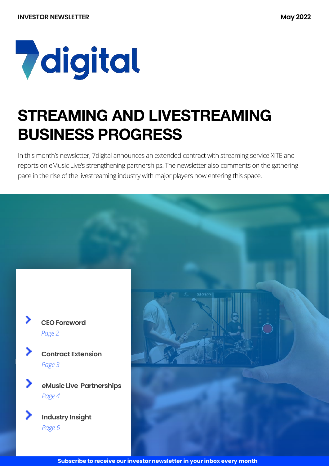# **7** digital

## **STREAMING AND LIVESTREAMING BUSINESS PROGRESS**

In this month's newsletter, 7digital announces an extended contract with streaming service XITE and reports on eMusic Live's strengthening partnerships. The newsletter also comments on the gathering pace in the rise of the livestreaming industry with major players now entering this space.



| ◢ | <b>Contract Extension</b> |
|---|---------------------------|
|   | Page 3                    |

B

>

⋗

↘

**eMusic Live Partnerships** *Page 4*

**Industry Insight** *Page 6*

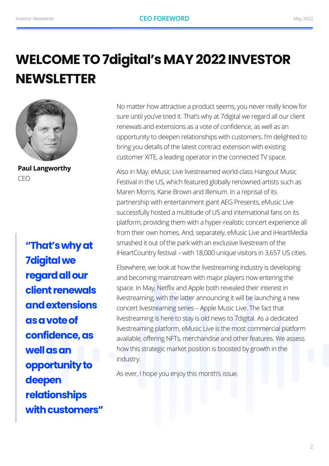## **WELCOME TO 7digital's MAY 2022 INVESTOR NEWSLETTER**



**Paul Langworthy** CEO

**"That's why at 7digital we regard all our client renewals and extensions as a vote of confidence, as well as an opportunity to deepen relationships with customers"** No matter how attractive a product seems, you never really know for sure until you've tried it. That's why at 7digital we regard all our client renewals and extensions as a vote of confidence, as well as an opportunity to deepen relationships with customers. I'm delighted to bring you details of the latest contract extension with existing customer XITE, a leading operator in the connected TV space.

Also in May: eMusic Live livestreamed world-class Hangout Music Festival in the US, which featured globally renowned artists such as Maren Morris, Kane Brown and Illenium. In a reprisal of its partnership with entertainment giant AEG Presents, eMusic Live successfully hosted a multitude of US and international fans on its platform, providing them with a hyper-realistic concert experience all from their own homes. And, separately, eMusic Live and iHeartMedia smashed it out of the park with an exclusive livestream of the iHeartCountry festival – with 18,000 unique visitors in 3,657 US cities.

Elsewhere, we look at how the livestreaming industry is developing and becoming mainstream with major players now entering the space. In May, Netflix and Apple both revealed their interest in livestreaming, with the latter announcing it will be launching a new concert livestreaming series – Apple Music Live. The fact that livestreaming is here to stay is old news to 7digital. As a dedicated livestreaming platform, eMusic Live is the most commercial platform available, offering NFTs, merchandise and other features. We assess how this strategic market position is boosted by growth in the industry.

As ever, I hope you enjoy this month's issue.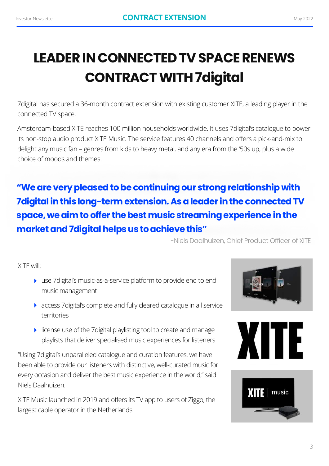## **LEADER IN CONNECTED TV SPACE RENEWS CONTRACT WITH 7digital**

7digital has secured a 36-month contract extension with existing customer XITE, a leading player in the connected TV space.

Amsterdam-based XITE reaches 100 million households worldwide. It uses 7digital's catalogue to power its non-stop audio product XITE Music. The service features 40 channels and offers a pick-and-mix to delight any music fan – genres from kids to heavy metal, and any era from the '50s up, plus a wide choice of moods and themes.

### **"We are very pleased to be continuing our strong relationship with 7digital in this long-term extension. As a leader in the connected TV space, we aim to offer the best music streaming experience in the market and 7digital helps us to achieve this"**

-Niels Daalhuizen, Chief Product Officer of XITE

XITE will:

- ‣ use 7digital's music-as-a-service platform to provide end to end music management
- ‣ access 7digital's complete and fully cleared catalogue in all service territories
- ‣ license use of the 7digital playlisting tool to create and manage playlists that deliver specialised music experiences for listeners

"Using 7digital's unparalleled catalogue and curation features, we have been able to provide our listeners with distinctive, well-curated music for every occasion and deliver the best music experience in the world," said Niels Daalhuizen.

XITE Music launched in 2019 and offers its TV app to users of Ziggo, the largest cable operator in the Netherlands.





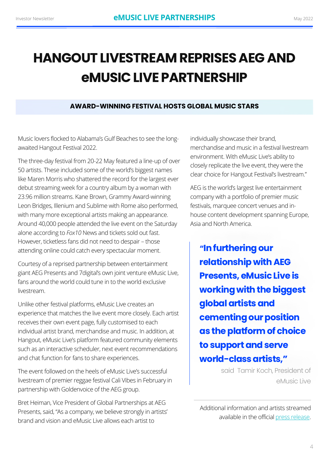## **HANGOUT LIVESTREAM REPRISES AEG AND eMUSIC LIVE PARTNERSHIP**

#### **AWARD-WINNING FESTIVAL HOSTS GLOBAL MUSIC STARS**

Music lovers flocked to Alabama's Gulf Beaches to see the longawaited Hangout Festival 2022.

The three-day festival from 20-22 May featured a line-up of over 50 artists. These included some of the world's biggest names like Maren Morris who shattered the record for the largest ever debut streaming week for a country album by a woman with 23.96 million streams. Kane Brown, Grammy Award-winning Leon Bridges, Illenium and Sublime with Rome also performed, with many more exceptional artists making an appearance. Around 40,000 people attended the live event on the Saturday alone according to *Fox10* News and tickets sold out fast. However, ticketless fans did not need to despair – those attending online could catch every spectacular moment.

Courtesy of a reprised partnership between entertainment giant AEG Presents and 7digital's own joint venture eMusic Live, fans around the world could tune in to the world exclusive livestream.

Unlike other festival platforms, eMusic Live creates an experience that matches the live event more closely. Each artist receives their own event page, fully customised to each individual artist brand, merchandise and music. In addition, at Hangout, eMusic Live's platform featured community elements such as an interactive scheduler, next event recommendations and chat function for fans to share experiences.

The event followed on the heels of eMusic Live's successful livestream of premier reggae festival Cali Vibes in February in partnership with Goldenvoice of the AEG group.

Bret Heiman, Vice President of Global Partnerships at AEG Presents, said, "As a company, we believe strongly in artists' brand and vision and eMusic Live allows each artist to

individually showcase their brand, merchandise and music in a festival livestream environment. With eMusic Live's ability to closely replicate the live event, they were the clear choice for Hangout Festival's livestream."

AEG is the world's largest live entertainment company with a portfolio of premier music festivals, marquee concert venues and inhouse content development spanning Europe, Asia and North America.

**"In furthering our relationship with AEG Presents, eMusic Live is working with the biggest global artists and cementing our position as the platform of choice to support and serve world-class artists,"** 

> said Tamir Koch, President of eMusic Live

Additional information and artists streamed available in the official [press release](https://www.businesswire.com/news/home/20220519006020/en/eMusic-Live-to-Exclusively-Livestream-Hangout-Music-Festival).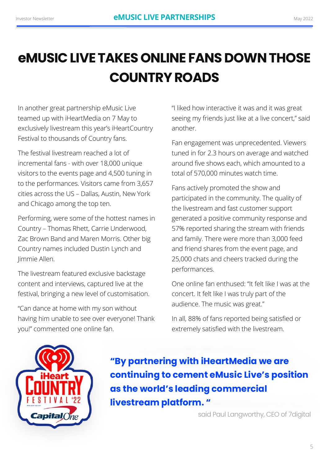## **eMUSIC LIVE TAKES ONLINE FANS DOWN THOSE COUNTRY ROADS**

In another great partnership eMusic Live teamed up with iHeartMedia on 7 May to exclusively livestream this year's iHeartCountry Festival to thousands of Country fans.

The festival livestream reached a lot of incremental fans - with over 18,000 unique visitors to the events page and 4,500 tuning in to the performances. Visitors came from 3,657 cities across the US – Dallas, Austin, New York and Chicago among the top ten.

Performing, were some of the hottest names in Country – Thomas Rhett, Carrie Underwood, Zac Brown Band and Maren Morris. Other big Country names included Dustin Lynch and Jimmie Allen.

The livestream featured exclusive backstage content and interviews, captured live at the festival, bringing a new level of customisation.

"Can dance at home with my son without having him unable to see over everyone! Thank you!" commented one online fan.

"I liked how interactive it was and it was great seeing my friends just like at a live concert," said another.

Fan engagement was unprecedented. Viewers tuned in for 2.3 hours on average and watched around five shows each, which amounted to a total of 570,000 minutes watch time.

Fans actively promoted the show and participated in the community. The quality of the livestream and fast customer support generated a positive community response and 57% reported sharing the stream with friends and family. There were more than 3,000 feed and friend shares from the event page, and 25,000 chats and cheers tracked during the performances.

One online fan enthused: "It felt like I was at the concert. It felt like I was truly part of the audience. The music was great."

In all, 88% of fans reported being satisfied or extremely satisfied with the livestream.



**"By partnering with iHeartMedia we are continuing to cement eMusic Live's position as the world's leading commercial livestream platform. "**

said Paul Langworthy, CEO of 7digital